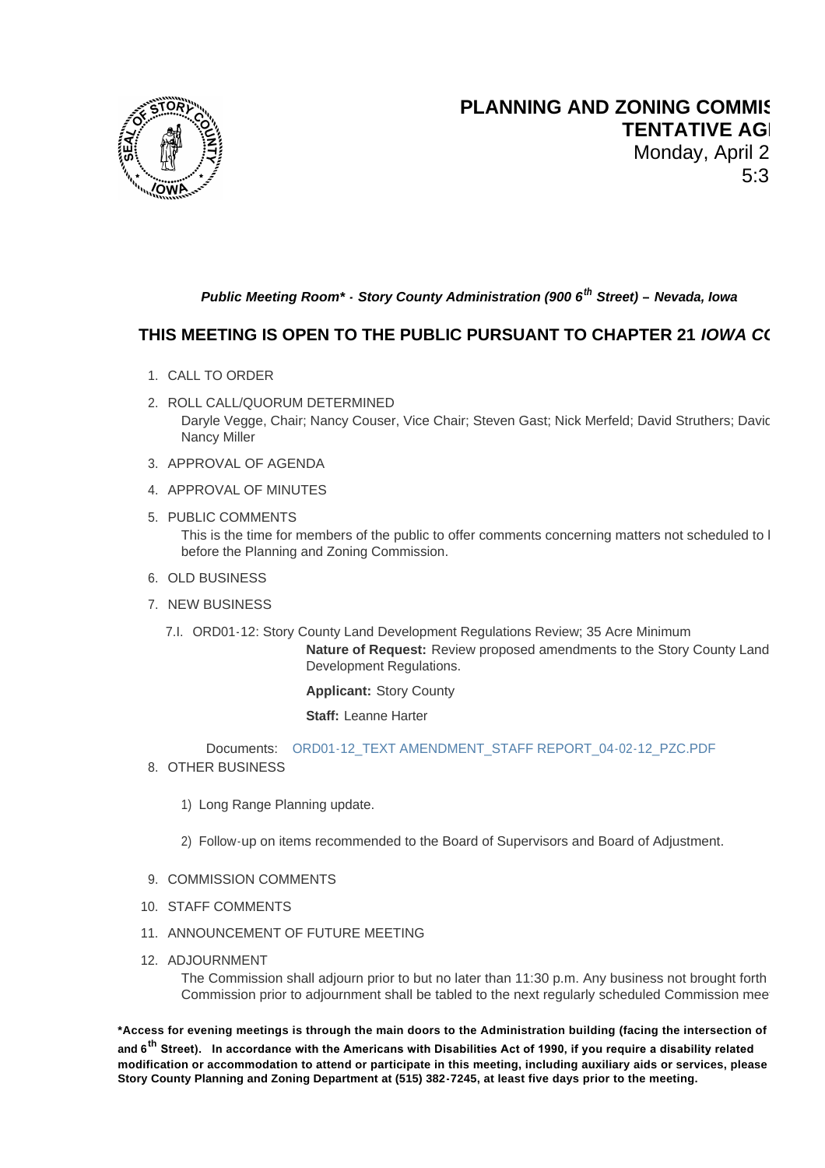

## **PLANNING AND ZONING COMMIS TENTATIVE AGI** Monday, April 2

 $5:3$ 

## *Public Meeting Room\* - Story County Administration (900 6th Street) – Nevada, Iowa*

## **THIS MEETING IS OPEN TO THE PUBLIC PURSUANT TO CHAPTER 21** *IOWA C*

- 1. CALL TO ORDER
- 2. ROLL CALL/QUORUM DETERMINED Daryle Vegge, Chair; Nancy Couser, Vice Chair; Steven Gast; Nick Merfeld; David Struthers; Davic Nancy Miller
- 3. APPROVAL OF AGENDA
- 4. APPROVAL OF MINUTES
- 5. PUBLIC COMMENTS This is the time for members of the public to offer comments concerning matters not scheduled to I before the Planning and Zoning Commission.
- 6. OLD BUSINESS
- 7. NEW BUSINESS
	- 7.I. ORD01-12: Story County Land Development Regulations Review; 35 Acre Minimum

**Nature of Request:** Review proposed amendments to the Story County Land Development Regulations.

**Applicant:** Story County

**Staff:** Leanne Harter

ORD01-12\_TEXT AMENDMENT\_STAFF REPORT\_04-02-12\_PZC.PDF Documents:

- 8. OTHER BUSINESS
	- 1) Long Range Pl[anning update.](http://www.storycountyiowa.gov/Files/AgendaCenter/Items/24/ORD01-12_TEXT%20AMENDMENT_STAFF%20REPORT_04-02-12_PZC_201203221602181875.pdf)

2) Follow-up on items recommended to the Board of Supervisors and Board of Adjustment.

- 9. COMMISSION COMMENTS
- 10. STAFF COMMENTS
- 11. ANNOUNCEMENT OF FUTURE MEETING
- 12. ADJOURNMENT

The Commission shall adjourn prior to but no later than 11:30 p.m. Any business not brought forth Commission prior to adjournment shall be tabled to the next regularly scheduled Commission mee

\*Access for evening meetings is through the main doors to the Administration building (facing the intersection of **and 6th Street). In accordance with the Americans with Disabilities Act of 1990, if you require a disability related modification or accommodation to attend or participate in this meeting, including auxiliary aids or services, please call the Story County Planning and Zoning Department at (515) 382-7245, at least five days prior to the meeting.**